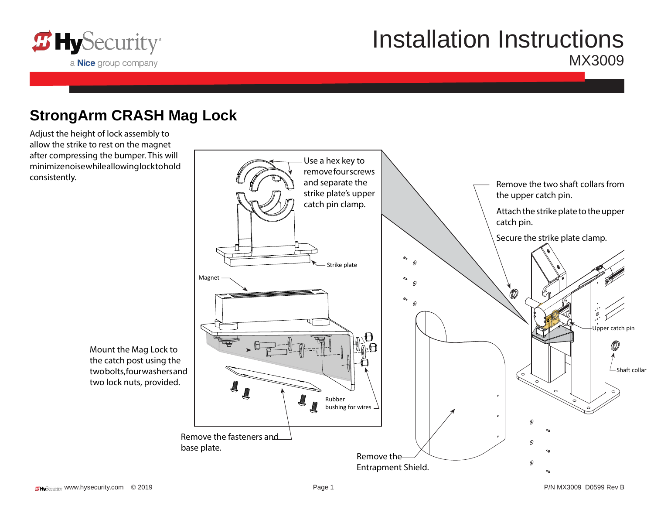

# Installation Instructions MX3009

#### **StrongArm CRASH Mag Lock**

Adjust the height of lock assembly to allow the strike to rest on the magnet after compressing the bumper. This will minimize noise while allowing lock to hold consistently.